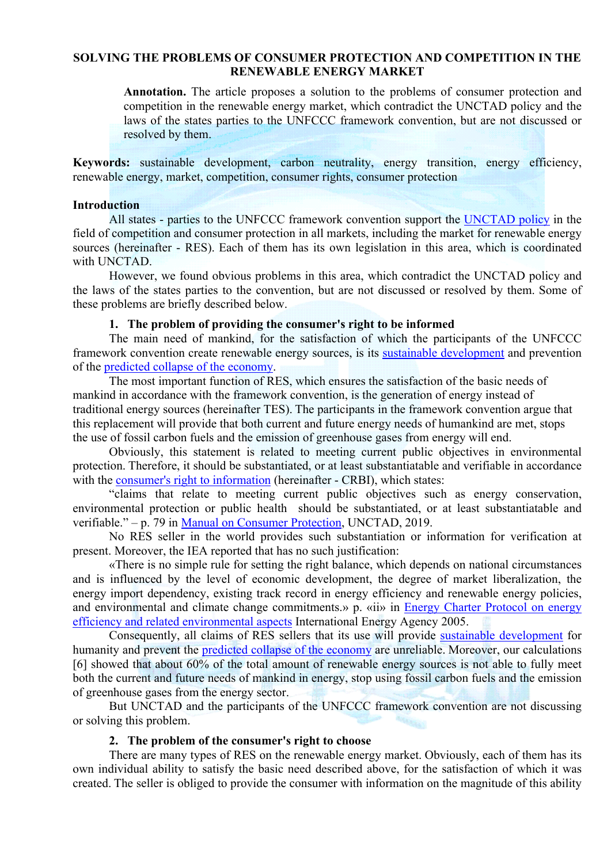## **SOLVING THE PROBLEMS OF CONSUMER PROTECTION AND COMPETITION IN THE RENEWABLE ENERGY MARKET**

**Annotation.** The article proposes a solution to the problems of consumer protection and competition in the renewable energy market, which contradict the UNCTAD policy and the laws of the states parties to the UNFCCC framework convention, but are not discussed or resolved by them.

**Keywords:** sustainable development, carbon neutrality, energy transition, energy efficiency, renewable energy, market, competition, consumer rights, consumer protection

#### **Introduction**

All states - parties to the UNFCCC framework convention support the [UNCTAD policy](https://unctad.org/system/files/official-document/tdrbpconf9d6_en.pdf) in the field of competition and consumer protection in all markets, including the market for renewable energy sources (hereinafter - RES). Each of them has its own legislation in this area, which is coordinated with UNCTAD.

However, we found obvious problems in this area, which contradict the UNCTAD policy and the laws of the states parties to the convention, but are not discussed or resolved by them. Some of these problems are briefly described below.

#### **1. The problem of providing the consumer's right to be informed**

The main need of mankind, for the satisfaction of which the participants of the UNFCCC framework convention create renewable energy sources, is its [sustainable development](https://sustainabledevelopment.un.org/getWSDoc.php?id=3593) and prevention of the [predicted collapse of the economy](https://www.dailymail.co.uk/sciencetech/article-9788957/MITs-1972-prediction-collapse-society-track-happen-2040-study-reveals.html).

The most important function of RES, which ensures the satisfaction of the basic needs of mankind in accordance with the framework convention, is the generation of energy instead of traditional energy sources (hereinafter TES). The participants in the framework convention argue that this replacement will provide that both current and future energy needs of humankind are met, stops the use of fossil carbon fuels and the emission of greenhouse gases from energy will end.

Obviously, this statement is related to meeting current public objectives in environmental protection. Therefore, it should be substantiated, or at least substantiatable and verifiable in accordance with the [consumer's right to information](https://unctad.org/system/files/official-document/ditccplp2017d1_en.pdf) (hereinafter - CRBI), which states:

"claims that relate to meeting current public objectives such as energy conservation, environmental protection or public health should be substantiated, or at least substantiatable and verifiable." – p. 79 in [Manual on Consumer Protection,](https://unctad.org/system/files/official-document/ditccplp2017d1_en.pdf) UNCTAD, 2019.

No RES seller in the world provides such substantiation or information for verification at present. Moreover, the IEA reported that has no such justification:

«There is no simple rule for setting the right balance, which depends on national circumstances and is influenced by the level of economic development, the degree of market liberalization, the energy import dependency, existing track record in energy efficiency and renewable energy policies, and environmental and climate change commitments.» p. «ii» in [Energy Charter Protocol on energy](https://www.energycharter.org/fileadmin/DocumentsMedia/Thematic/Integrating_Energy_Efficiency_and_Renewable_Energy_Policies_2005_en.pdf)  [efficiency and related environmental aspects](https://www.energycharter.org/fileadmin/DocumentsMedia/Thematic/Integrating_Energy_Efficiency_and_Renewable_Energy_Policies_2005_en.pdf) International Energy Agency 2005.

Consequently, all claims of RES sellers that its use will provide [sustainable development](https://sustainabledevelopment.un.org/getWSDoc.php?id=3593) for humanity and prevent the [predicted collapse of the economy](https://www.dailymail.co.uk/sciencetech/article-9788957/MITs-1972-prediction-collapse-society-track-happen-2040-study-reveals.html) are unreliable. Moreover, our calculations [6] showed that about 60% of the total amount of renewable energy sources is not able to fully meet both the current and future needs of mankind in energy, stop using fossil carbon fuels and the emission of greenhouse gases from the energy sector.

But UNCTAD and the participants of the UNFCCC framework convention are not discussing or solving this problem.

### **2. The problem of the consumer's right to choose**

There are many types of RES on the renewable energy market. Obviously, each of them has its own individual ability to satisfy the basic need described above, for the satisfaction of which it was created. The seller is obliged to provide the consumer with information on the magnitude of this ability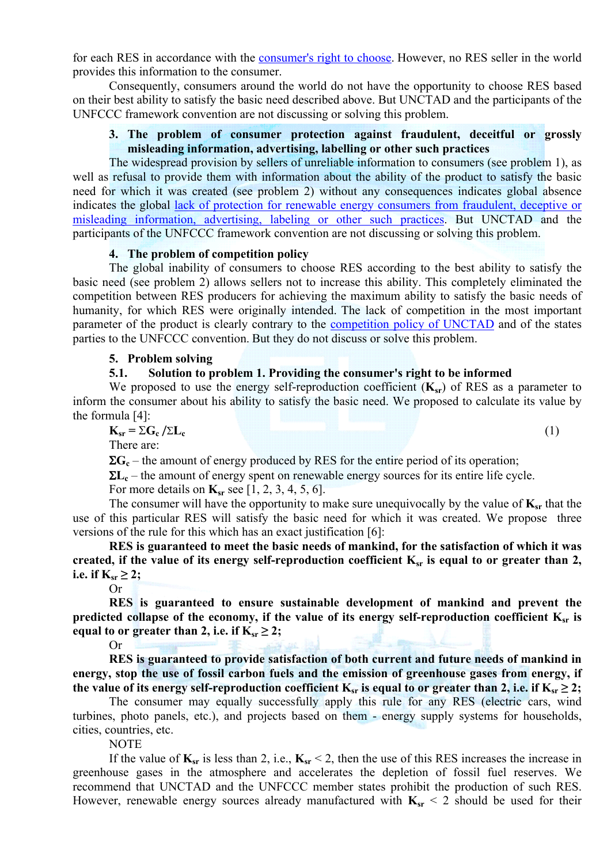for each RES in accordance with the [consumer's right to choose](https://unctad.org/system/files/official-document/ditccplp2017d1_en.pdf). However, no RES seller in the world provides this information to the consumer.

Consequently, consumers around the world do not have the opportunity to choose RES based on their best ability to satisfy the basic need described above. But UNCTAD and the participants of the UNFCCC framework convention are not discussing or solving this problem.

## **3. The problem of consumer protection against fraudulent, deceitful or grossly misleading information, advertising, labelling or other such practices**

The widespread provision by sellers of unreliable information to consumers (see problem 1), as well as refusal to provide them with information about the ability of the product to satisfy the basic need for which it was created (see problem 2) without any consequences indicates global absence indicates the global [lack of protection for renewable energy consumers from fraudulent, deceptive or](https://unctad.org/system/files/official-document/ditccplp2017d1_en.pdf)  [misleading information, advertising, labeling or other such practices.](https://unctad.org/system/files/official-document/ditccplp2017d1_en.pdf) But UNCTAD and the participants of the UNFCCC framework convention are not discussing or solving this problem.

#### **4. The problem of competition policy**

The global inability of consumers to choose RES according to the best ability to satisfy the basic need (see problem 2) allows sellers not to increase this ability. This completely eliminated the competition between RES producers for achieving the maximum ability to satisfy the basic needs of humanity, for which RES were originally intended. The lack of competition in the most important parameter of the product is clearly contrary to the [competition policy of UNCTAD](https://unctad.org/system/files/official-document/tdrbpconf9d6_en.pdf) and of the states parties to the UNFCCC convention. But they do not discuss or solve this problem.

#### **5. Problem solving**

# **5.1. Solution to problem 1. Providing the consumer's right to be informed**

We proposed to use the energy self-reproduction coefficient (**K**<sub>**s**r</sub>) of RES as a parameter to inform the consumer about his ability to satisfy the basic need. We proposed to calculate its value by the formula [4]:

 $K_{sr} = \sum G_c / \sum L_c$  $\sqrt{\Sigma}L_c$  (1)

There are:

 $\Sigma G_c$  – the amount of energy produced by RES for the entire period of its operation;

 $\Sigma L_c$  – the amount of energy spent on renewable energy sources for its entire life cycle.

For more details on **Ksr** see [1, 2, 3, 4, 5, 6].

The consumer will have the opportunity to make sure unequivocally by the value of  $K_{sr}$  that the use of this particular RES will satisfy the basic need for which it was created. We propose three versions of the rule for this which has an exact justification [6]:

**RES is guaranteed to meet the basic needs of mankind, for the satisfaction of which it was created, if the value of its energy self-reproduction coefficient Ksr is equal to or greater than 2, i.e.** if  $K_{sr}$  ≥ 2;

Or

**RES is guaranteed to ensure sustainable development of mankind and prevent the**  predicted collapse of the economy, if the value of its energy self-reproduction coefficient  $K_{sr}$  is **equal to or greater than 2, i.e. if**  $K_{sr} \geq 2$ **;** 

Or

**RES is guaranteed to provide satisfaction of both current and future needs of mankind in energy, stop the use of fossil carbon fuels and the emission of greenhouse gases from energy, if the value of its energy self-reproduction coefficient**  $K_{sr}$  **is equal to or greater than 2, i.e. if**  $K_{sr} \geq 2$ **;** 

The consumer may equally successfully apply this rule for any RES (electric cars, wind turbines, photo panels, etc.), and projects based on them - energy supply systems for households, cities, countries, etc.

NOTE

If the value of  $K_{sr}$  is less than 2, i.e.,  $K_{sr}$  < 2, then the use of this RES increases the increase in greenhouse gases in the atmosphere and accelerates the depletion of fossil fuel reserves. We recommend that UNCTAD and the UNFCCC member states prohibit the production of such RES. However, renewable energy sources already manufactured with  $K_{sr} < 2$  should be used for their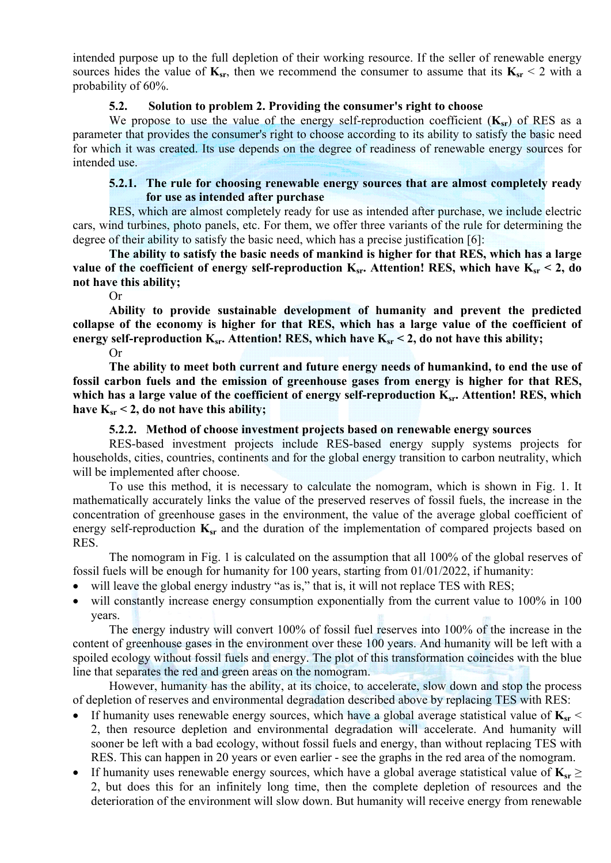intended purpose up to the full depletion of their working resource. If the seller of renewable energy sources hides the value of  $\mathbf{K}_{sr}$ , then we recommend the consumer to assume that its  $\mathbf{K}_{sr}$  < 2 with a probability of 60%.

## **5.2. Solution to problem 2. Providing the consumer's right to choose**

We propose to use the value of the energy self-reproduction coefficient  $(K_{sr})$  of RES as a parameter that provides the consumer's right to choose according to its ability to satisfy the basic need for which it was created. Its use depends on the degree of readiness of renewable energy sources for intended use.

## **5.2.1. The rule for choosing renewable energy sources that are almost completely ready for use as intended after purchase**

RES, which are almost completely ready for use as intended after purchase, we include electric cars, wind turbines, photo panels, etc. For them, we offer three variants of the rule for determining the degree of their ability to satisfy the basic need, which has a precise justification [6]:

**The ability to satisfy the basic needs of mankind is higher for that RES, which has a large value of the coefficient of energy self-reproduction**  $K_{sr}$ **. Attention! RES, which have**  $K_{sr}$  **< 2, do not have this ability;**

Or

**Ability to provide sustainable development of humanity and prevent the predicted collapse of the economy is higher for that RES, which has a large value of the coefficient of**  energy self-reproduction  $K_{sr}$ . Attention! RES, which have  $K_{sr}$  < 2, do not have this ability;

Or

**The ability to meet both current and future energy needs of humankind, to end the use of fossil carbon fuels and the emission of greenhouse gases from energy is higher for that RES, which has a large value of the coefficient of energy self-reproduction Ksr. Attention! RES, which**  have  $K_{sr}$  < 2, do not have this ability;

## **5.2.2. Method of choose investment projects based on renewable energy sources**

RES-based investment projects include RES-based energy supply systems projects for households, cities, countries, continents and for the global energy transition to carbon neutrality, which will be implemented after choose.

To use this method, it is necessary to calculate the nomogram, which is shown in Fig. 1. It mathematically accurately links the value of the preserved reserves of fossil fuels, the increase in the concentration of greenhouse gases in the environment, the value of the average global coefficient of energy self-reproduction  $K_{sr}$  and the duration of the implementation of compared projects based on RES.

The nomogram in Fig. 1 is calculated on the assumption that all 100% of the global reserves of fossil fuels will be enough for humanity for 100 years, starting from 01/01/2022, if humanity:

- will leave the global energy industry "as is," that is, it will not replace TES with RES;
- will constantly increase energy consumption exponentially from the current value to 100% in 100 years.

The energy industry will convert 100% of fossil fuel reserves into 100% of the increase in the content of greenhouse gases in the environment over these 100 years. And humanity will be left with a spoiled ecology without fossil fuels and energy. The plot of this transformation coincides with the blue line that separates the red and green areas on the nomogram.

However, humanity has the ability, at its choice, to accelerate, slow down and stop the process of depletion of reserves and environmental degradation described above by replacing TES with RES:

- If humanity uses renewable energy sources, which have a global average statistical value of  $K_{sr}$  < 2, then resource depletion and environmental degradation will accelerate. And humanity will sooner be left with a bad ecology, without fossil fuels and energy, than without replacing TES with RES. This can happen in 20 years or even earlier - see the graphs in the red area of the nomogram.
- If humanity uses renewable energy sources, which have a global average statistical value of  $K_{sr} \ge$ 2, but does this for an infinitely long time, then the complete depletion of resources and the deterioration of the environment will slow down. But humanity will receive energy from renewable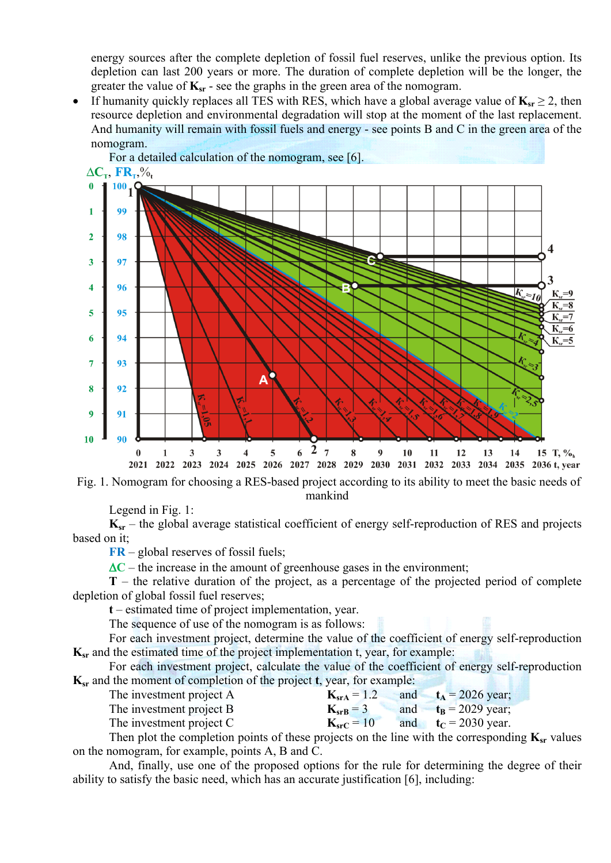energy sources after the complete depletion of fossil fuel reserves, unlike the previous option. Its depletion can last 200 years or more. The duration of complete depletion will be the longer, the greater the value of  $K_{sr}$  - see the graphs in the green area of the nomogram.

If humanity quickly replaces all TES with RES, which have a global average value of  $K_{sr} \ge 2$ , then resource depletion and environmental degradation will stop at the moment of the last replacement. And humanity will remain with fossil fuels and energy - see points B and C in the green area of the nomogram.





Legend in Fig. 1:

**Ksr** – the global average statistical coefficient of energy self-reproduction of RES and projects based on it;

**FR** – global reserves of fossil fuels;

 $\Delta C$  – the increase in the amount of greenhouse gases in the environment;

**T** – the relative duration of the project, as a percentage of the projected period of complete depletion of global fossil fuel reserves;

**t** – estimated time of project implementation, year.

The sequence of use of the nomogram is as follows:

For each investment project, determine the value of the coefficient of energy self-reproduction **Ksr** and the estimated time of the project implementation t, year, for example:

For each investment project, calculate the value of the coefficient of energy self-reproduction **Ksr** and the moment of completion of the project **t**, year, for example:

| The investment project A |                    | $K_{\rm srd} = 1.2$ and $t_A = 2026$ year; |
|--------------------------|--------------------|--------------------------------------------|
| The investment project B | $K_{\rm srB}$ = 3  | and $t_{\text{B}} = 2029$ year;            |
| The investment project C | $K_{\rm src} = 10$ | and $t_C = 2030$ year.                     |

Then plot the completion points of these projects on the line with the corresponding  $\mathbf{K}_{sr}$  values on the nomogram, for example, points A, B and C.

And, finally, use one of the proposed options for the rule for determining the degree of their ability to satisfy the basic need, which has an accurate justification [6], including: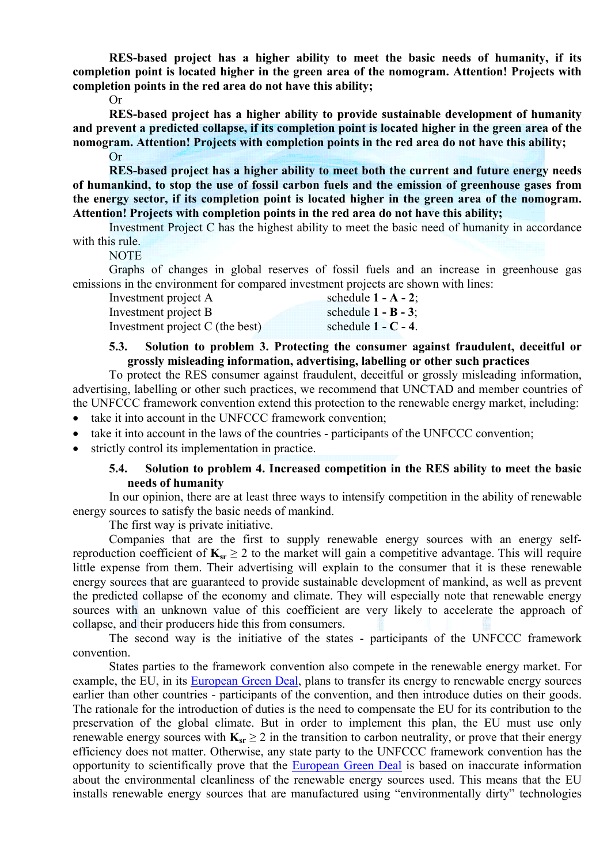**RES-based project has a higher ability to meet the basic needs of humanity, if its completion point is located higher in the green area of the nomogram. Attention! Projects with completion points in the red area do not have this ability;**

Or

**RES-based project has a higher ability to provide sustainable development of humanity and prevent a predicted collapse, if its completion point is located higher in the green area of the nomogram. Attention! Projects with completion points in the red area do not have this ability;**

Or

**RES-based project has a higher ability to meet both the current and future energy needs of humankind, to stop the use of fossil carbon fuels and the emission of greenhouse gases from the energy sector, if its completion point is located higher in the green area of the nomogram. Attention! Projects with completion points in the red area do not have this ability;**

Investment Project C has the highest ability to meet the basic need of humanity in accordance with this rule.

**NOTE** 

Graphs of changes in global reserves of fossil fuels and an increase in greenhouse gas emissions in the environment for compared investment projects are shown with lines:

| Investment project A            | schedule $1 - A - 2$ ; |
|---------------------------------|------------------------|
| Investment project B            | schedule $1 - B - 3$ ; |
| Investment project C (the best) | schedule $1 - C - 4$ . |

## **5.3. Solution to problem 3. Protecting the consumer against fraudulent, deceitful or grossly misleading information, advertising, labelling or other such practices**

To protect the RES consumer against fraudulent, deceitful or grossly misleading information, advertising, labelling or other such practices, we recommend that UNCTAD and member countries of the UNFCCC framework convention extend this protection to the renewable energy market, including:

- take it into account in the UNFCCC framework convention;
- take it into account in the laws of the countries participants of the UNFCCC convention;
- strictly control its implementation in practice.

### **5.4. Solution to problem 4. Increased competition in the RES ability to meet the basic needs of humanity**

In our opinion, there are at least three ways to intensify competition in the ability of renewable energy sources to satisfy the basic needs of mankind.

The first way is private initiative.

Companies that are the first to supply renewable energy sources with an energy selfreproduction coefficient of  $K_{sr} \geq 2$  to the market will gain a competitive advantage. This will require little expense from them. Their advertising will explain to the consumer that it is these renewable energy sources that are guaranteed to provide sustainable development of mankind, as well as prevent the predicted collapse of the economy and climate. They will especially note that renewable energy sources with an unknown value of this coefficient are very likely to accelerate the approach of collapse, and their producers hide this from consumers.

The second way is the initiative of the states - participants of the UNFCCC framework convention.

States parties to the framework convention also compete in the renewable energy market. For example, the EU, in its [European Green Deal,](https://ec.europa.eu/info/strategy/priorities-2019-2024/european-green-deal_en) plans to transfer its energy to renewable energy sources earlier than other countries - participants of the convention, and then introduce duties on their goods. The rationale for the introduction of duties is the need to compensate the EU for its contribution to the preservation of the global climate. But in order to implement this plan, the EU must use only renewable energy sources with  $K_{sr} \ge 2$  in the transition to carbon neutrality, or prove that their energy efficiency does not matter. Otherwise, any state party to the UNFCCC framework convention has the opportunity to scientifically prove that the [European Green Deal](https://ec.europa.eu/info/strategy/priorities-2019-2024/european-green-deal_en) is based on inaccurate information about the environmental cleanliness of the renewable energy sources used. This means that the EU installs renewable energy sources that are manufactured using "environmentally dirty" technologies